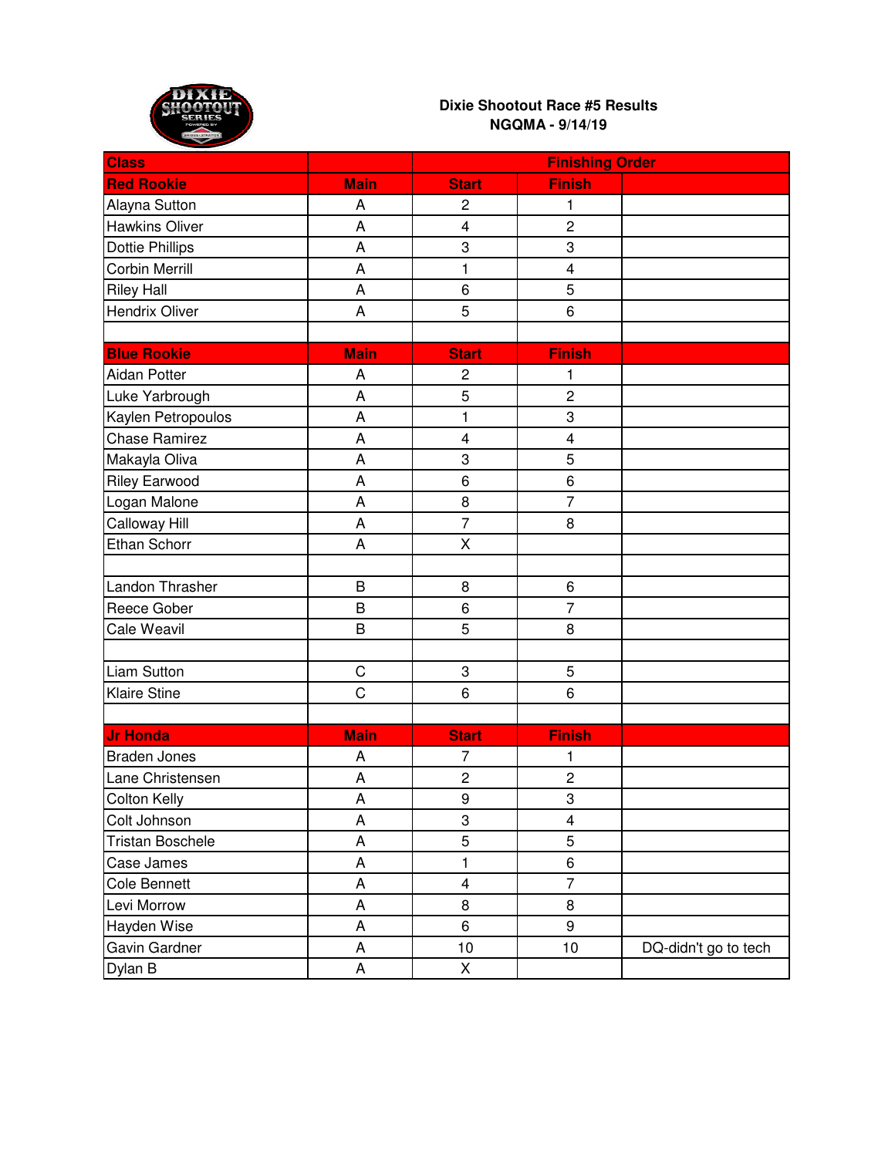

| <b>Class</b>            |                | <b>Finishing Order</b>  |                         |                      |
|-------------------------|----------------|-------------------------|-------------------------|----------------------|
| <b>Red Rookie</b>       | <b>Main</b>    | <b>Start</b>            | <b>Finish</b>           |                      |
| Alayna Sutton           | A              | $\overline{c}$          | 1                       |                      |
| <b>Hawkins Oliver</b>   | A              | $\overline{\mathbf{4}}$ | $\overline{c}$          |                      |
| <b>Dottie Phillips</b>  | A              | 3                       | 3                       |                      |
| <b>Corbin Merrill</b>   | A              | 1                       | 4                       |                      |
| <b>Riley Hall</b>       | A              | 6                       | 5                       |                      |
| Hendrix Oliver          | A              | 5                       | 6                       |                      |
|                         |                |                         |                         |                      |
| <b>Blue Rookie</b>      | <b>Main</b>    | <b>Start</b>            | <b>Finish</b>           |                      |
| <b>Aidan Potter</b>     | A              | $\overline{c}$          | 1                       |                      |
| Luke Yarbrough          | A              | 5                       | $\overline{c}$          |                      |
| Kaylen Petropoulos      | A              | $\mathbf{1}$            | 3                       |                      |
| <b>Chase Ramirez</b>    | A              | $\overline{\mathbf{4}}$ | 4                       |                      |
| Makayla Oliva           | A              | 3                       | 5                       |                      |
| <b>Riley Earwood</b>    | A              | 6                       | 6                       |                      |
| Logan Malone            | A              | 8                       | $\overline{7}$          |                      |
| Calloway Hill           | A              | $\overline{7}$          | 8                       |                      |
| Ethan Schorr            | A              | X                       |                         |                      |
|                         |                |                         |                         |                      |
| Landon Thrasher         | B              | 8                       | 6                       |                      |
| Reece Gober             | B              | 6                       | $\overline{7}$          |                      |
| Cale Weavil             | B              | 5                       | 8                       |                      |
|                         |                |                         |                         |                      |
| <b>Liam Sutton</b>      | C              | 3                       | 5                       |                      |
| <b>Klaire Stine</b>     | $\overline{C}$ | 6                       | 6                       |                      |
|                         |                |                         |                         |                      |
| <b>Jr Honda</b>         | <b>Main</b>    | <b>Start</b>            | <b>Finish</b>           |                      |
| <b>Braden Jones</b>     | A              | 7                       | 1                       |                      |
| Lane Christensen        | A              | $\mathbf 2$             | $\overline{c}$          |                      |
| Colton Kelly            | A              | $\boldsymbol{9}$        | 3                       |                      |
| Colt Johnson            | A              | 3                       | $\overline{\mathbf{4}}$ |                      |
| <b>Tristan Boschele</b> | A              | $\overline{5}$          | $\overline{5}$          |                      |
| Case James              | A              | $\mathbf{1}$            | 6                       |                      |
| Cole Bennett            | A              | $\overline{\mathbf{4}}$ | $\overline{7}$          |                      |
| Levi Morrow             | А              | 8                       | 8                       |                      |
| Hayden Wise             | A              | 6                       | 9                       |                      |
| Gavin Gardner           | A              | 10                      | 10                      | DQ-didn't go to tech |
| Dylan B                 | A              | X                       |                         |                      |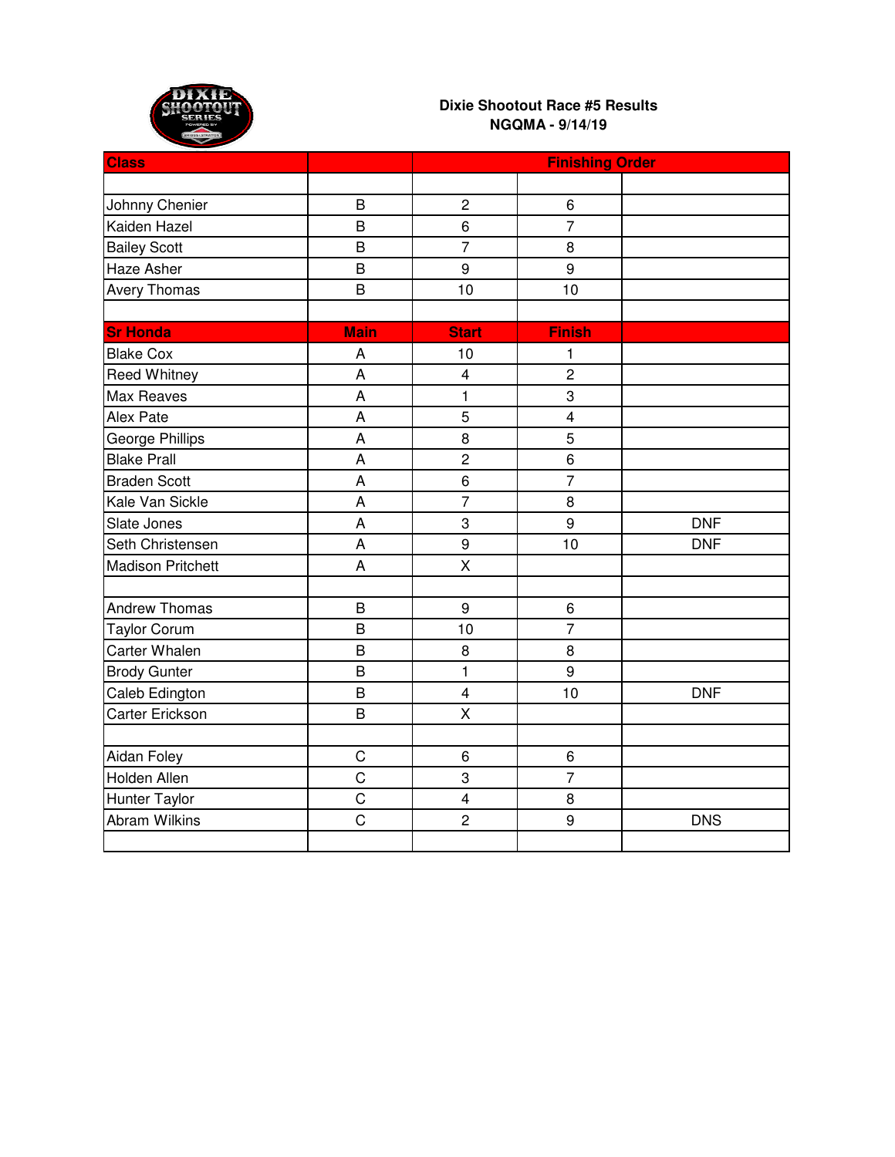

| <b>Class</b>             |                | <b>Finishing Order</b>  |                |            |
|--------------------------|----------------|-------------------------|----------------|------------|
|                          |                |                         |                |            |
| Johnny Chenier           | B              | $\overline{2}$          | 6              |            |
| Kaiden Hazel             | $\overline{B}$ | 6                       | $\overline{7}$ |            |
| <b>Bailey Scott</b>      | B              | $\overline{7}$          | 8              |            |
| Haze Asher               | B              | 9                       | 9              |            |
| <b>Avery Thomas</b>      | $\mathsf B$    | 10                      | 10             |            |
|                          |                |                         |                |            |
| <b>Sr Honda</b>          | <b>Main</b>    | <b>Start</b>            | <b>Finish</b>  |            |
| <b>Blake Cox</b>         | A              | 10                      | 1              |            |
| <b>Reed Whitney</b>      | A              | $\overline{\mathbf{4}}$ | $\overline{2}$ |            |
| Max Reaves               | A              | 1                       | $\overline{3}$ |            |
| Alex Pate                | A              | 5                       | $\overline{4}$ |            |
| <b>George Phillips</b>   | A              | 8                       | 5              |            |
| <b>Blake Prall</b>       | $\overline{A}$ | $\overline{c}$          | $\overline{6}$ |            |
| <b>Braden Scott</b>      | A              | 6                       | $\overline{7}$ |            |
| Kale Van Sickle          | A              | $\overline{7}$          | 8              |            |
| Slate Jones              | A              | 3                       | 9              | <b>DNF</b> |
| Seth Christensen         | A              | $\overline{9}$          | 10             | <b>DNF</b> |
| <b>Madison Pritchett</b> | A              | X                       |                |            |
|                          |                |                         |                |            |
| <b>Andrew Thomas</b>     | $\overline{B}$ | 9                       | 6              |            |
| <b>Taylor Corum</b>      | $\overline{B}$ | 10                      | $\overline{7}$ |            |
| <b>Carter Whalen</b>     | B              | 8                       | 8              |            |
| <b>Brody Gunter</b>      | B              | $\mathbf{1}$            | 9              |            |
| Caleb Edington           | B              | $\overline{4}$          | 10             | <b>DNF</b> |
| Carter Erickson          | $\overline{B}$ | X                       |                |            |
|                          |                |                         |                |            |
| Aidan Foley              | $\mathsf C$    | 6                       | 6              |            |
| Holden Allen             | $\overline{C}$ | 3                       | $\overline{7}$ |            |
| Hunter Taylor            | $\mathbf C$    | $\overline{\mathbf{4}}$ | 8              |            |
| <b>Abram Wilkins</b>     | $\mathsf C$    | $\overline{c}$          | 9              | <b>DNS</b> |
|                          |                |                         |                |            |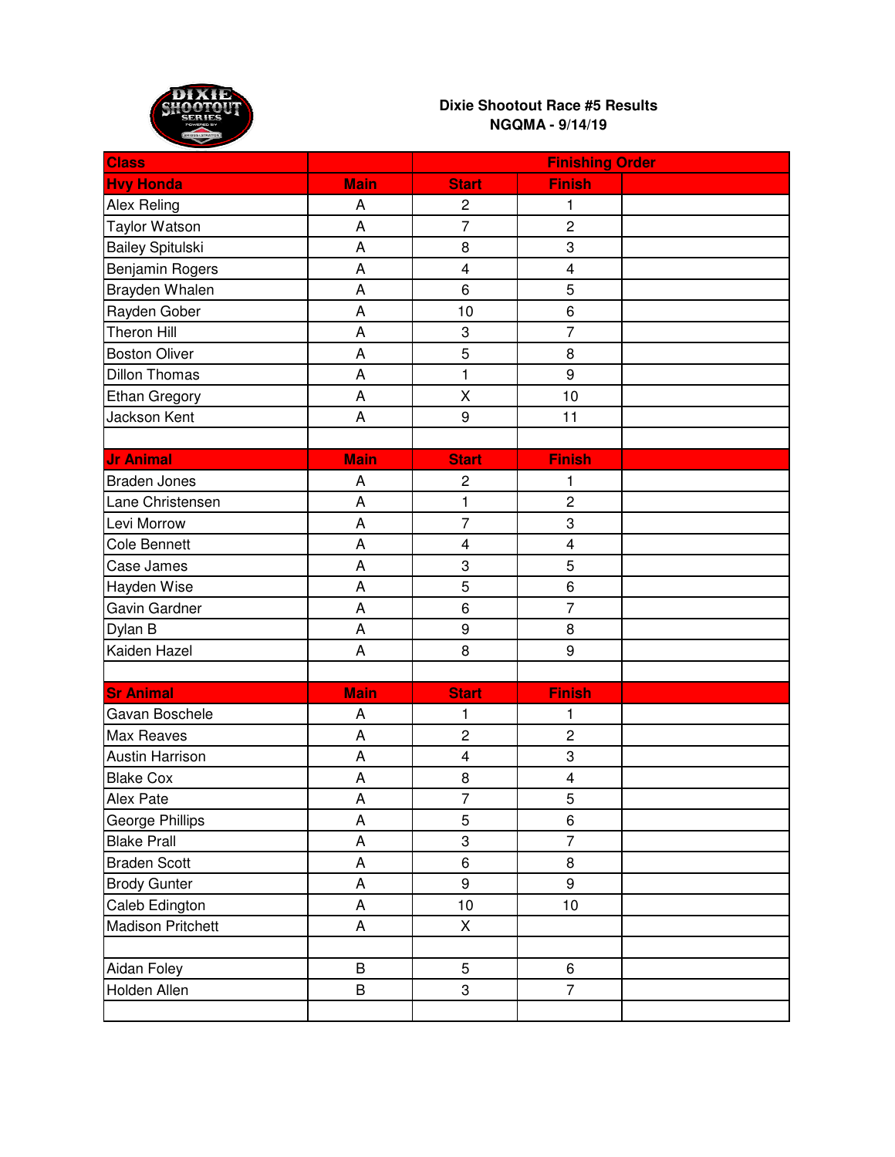

| <b>Class</b>             |                           | <b>Finishing Order</b>  |                         |  |
|--------------------------|---------------------------|-------------------------|-------------------------|--|
| <b>Hvy Honda</b>         | <b>Main</b>               | <b>Start</b>            | <b>Finish</b>           |  |
| Alex Reling              | A                         | $\overline{c}$          | 1                       |  |
| <b>Taylor Watson</b>     | A                         | 7                       | $\overline{2}$          |  |
| <b>Bailey Spitulski</b>  | A                         | 8                       | 3                       |  |
| Benjamin Rogers          | A                         | $\overline{\mathbf{4}}$ | $\overline{\mathbf{4}}$ |  |
| Brayden Whalen           | A                         | 6                       | 5                       |  |
| Rayden Gober             | A                         | 10                      | 6                       |  |
| <b>Theron Hill</b>       | A                         | 3                       | $\overline{7}$          |  |
| <b>Boston Oliver</b>     | A                         | 5                       | 8                       |  |
| <b>Dillon Thomas</b>     | A                         | $\mathbf{1}$            | 9                       |  |
| <b>Ethan Gregory</b>     | A                         | X                       | 10                      |  |
| Jackson Kent             | A                         | $\boldsymbol{9}$        | 11                      |  |
|                          |                           |                         |                         |  |
| <b>Jr Animal</b>         | <b>Main</b>               | <b>Start</b>            | <b>Finish</b>           |  |
| <b>Braden Jones</b>      | A                         | $\overline{c}$          | 1                       |  |
| Lane Christensen         | A                         | 1                       | $\overline{c}$          |  |
| Levi Morrow              | A                         | $\overline{7}$          | 3                       |  |
| <b>Cole Bennett</b>      | A                         | $\overline{\mathbf{4}}$ | $\overline{\mathbf{4}}$ |  |
| Case James               | A                         | 3                       | 5                       |  |
| Hayden Wise              | A                         | 5                       | 6                       |  |
| Gavin Gardner            | A                         | 6                       | $\overline{7}$          |  |
| Dylan B                  | A                         | $\boldsymbol{9}$        | 8                       |  |
| Kaiden Hazel             | A                         | 8                       | 9                       |  |
|                          |                           |                         |                         |  |
| <b>Sr Animal</b>         | <b>Main</b>               | <b>Start</b>            | <b>Finish</b>           |  |
| Gavan Boschele           | A                         | 1                       | 1                       |  |
| Max Reaves               | A                         | $\overline{c}$          | $\overline{c}$          |  |
| <b>Austin Harrison</b>   | A                         | $\overline{\mathbf{4}}$ | 3                       |  |
| <b>Blake Cox</b>         | A                         | 8                       | $\overline{\mathbf{4}}$ |  |
| Alex Pate                | A                         | $\overline{7}$          | 5                       |  |
| George Phillips          | $\mathsf A$               | 5                       | $\,6\,$                 |  |
| <b>Blake Prall</b>       | $\boldsymbol{\mathsf{A}}$ | 3                       | $\overline{7}$          |  |
| <b>Braden Scott</b>      | $\boldsymbol{\mathsf{A}}$ | $\,6$                   | 8                       |  |
| <b>Brody Gunter</b>      | A                         | 9                       | 9                       |  |
| Caleb Edington           | A                         | 10                      | 10                      |  |
| <b>Madison Pritchett</b> | A                         | Χ                       |                         |  |
|                          |                           |                         |                         |  |
| Aidan Foley              | $\mathsf B$               | $\overline{5}$          | 6                       |  |
| Holden Allen             | B                         | 3                       | $\overline{7}$          |  |
|                          |                           |                         |                         |  |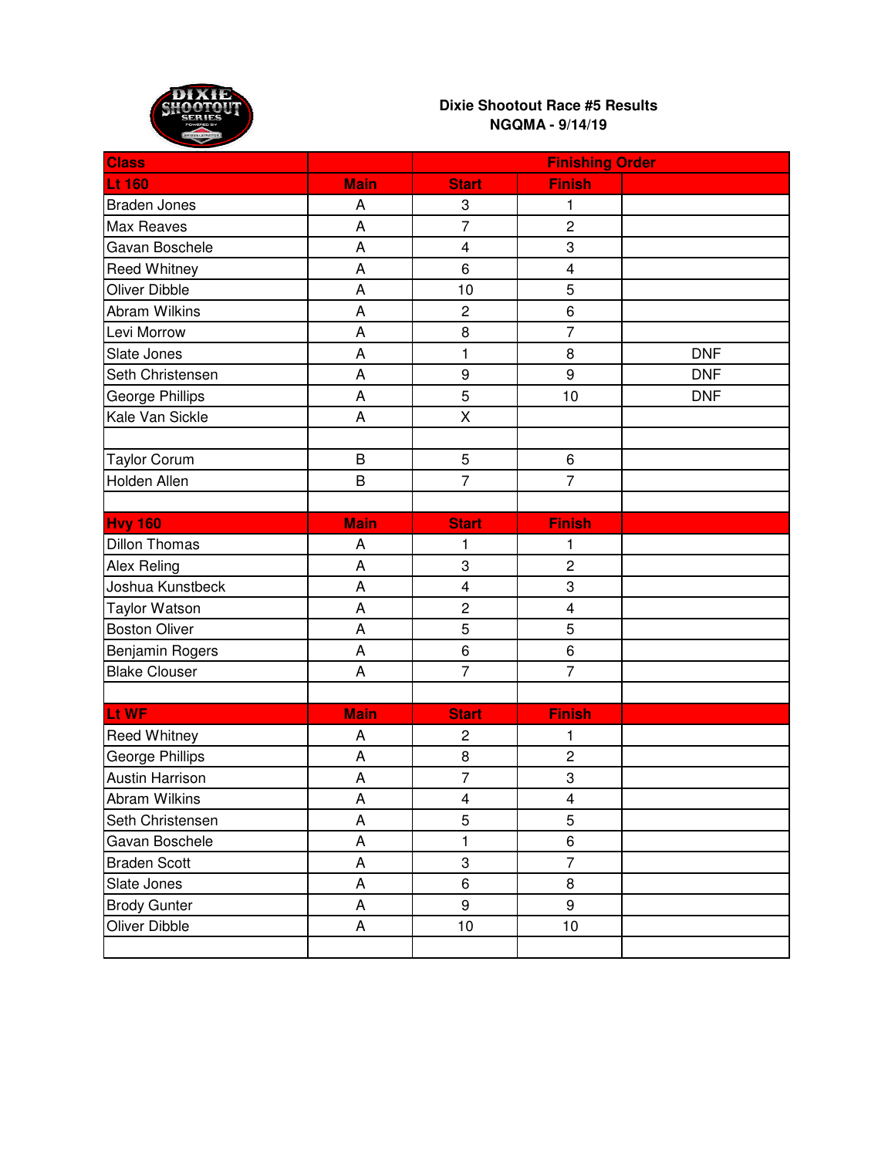

| <b>Class</b>           |                | <b>Finishing Order</b>  |                         |            |
|------------------------|----------------|-------------------------|-------------------------|------------|
| <b>Lt 160</b>          | <b>Main</b>    | <b>Start</b>            | <b>Finish</b>           |            |
| <b>Braden Jones</b>    | A              | 3                       | 1                       |            |
| <b>Max Reaves</b>      | A              | $\overline{7}$          | $\overline{2}$          |            |
| Gavan Boschele         | A              | $\overline{\mathbf{4}}$ | 3                       |            |
| <b>Reed Whitney</b>    | A              | 6                       | $\overline{\mathbf{4}}$ |            |
| <b>Oliver Dibble</b>   | A              | 10                      | 5                       |            |
| <b>Abram Wilkins</b>   | A              | $\overline{c}$          | 6                       |            |
| Levi Morrow            | A              | 8                       | $\overline{7}$          |            |
| Slate Jones            | A              | 1                       | 8                       | <b>DNF</b> |
| Seth Christensen       | A              | $\boldsymbol{9}$        | 9                       | <b>DNF</b> |
| George Phillips        | A              | 5                       | 10                      | <b>DNF</b> |
| Kale Van Sickle        | A              | X                       |                         |            |
|                        |                |                         |                         |            |
| <b>Taylor Corum</b>    | $\mathsf B$    | $\sqrt{5}$              | $\,6$                   |            |
| Holden Allen           | $\overline{B}$ | $\overline{7}$          | $\overline{7}$          |            |
|                        |                |                         |                         |            |
| <b>Hvy 160</b>         | <b>Main</b>    | <b>Start</b>            | <b>Finish</b>           |            |
| <b>Dillon Thomas</b>   | A              | 1                       | 1                       |            |
| <b>Alex Reling</b>     | A              | 3                       | $\overline{c}$          |            |
| Joshua Kunstbeck       | A              | $\overline{\mathbf{4}}$ | 3                       |            |
| <b>Taylor Watson</b>   | A              | $\overline{c}$          | $\overline{\mathbf{4}}$ |            |
| <b>Boston Oliver</b>   | A              | 5                       | 5                       |            |
| Benjamin Rogers        | A              | 6                       | $\,6$                   |            |
| <b>Blake Clouser</b>   | A              | $\overline{7}$          | $\overline{7}$          |            |
|                        |                |                         |                         |            |
| Lt WF                  | <b>Main</b>    | <b>Start</b>            | <b>Finish</b>           |            |
| <b>Reed Whitney</b>    | A              | $\overline{c}$          | 1                       |            |
| George Phillips        | A              | 8                       | $\overline{c}$          |            |
| <b>Austin Harrison</b> | A              | $\overline{7}$          | 3                       |            |
| <b>Abram Wilkins</b>   | A              | $\overline{\mathbf{4}}$ | $\overline{\mathbf{4}}$ |            |
| Seth Christensen       | A              | 5                       | 5                       |            |
| Gavan Boschele         | $\mathsf A$    | $\mathbf{1}$            | $\overline{6}$          |            |
| <b>Braden Scott</b>    | A              | 3                       | $\overline{7}$          |            |
| Slate Jones            | A              | 6                       | 8                       |            |
| <b>Brody Gunter</b>    | A              | 9                       | 9                       |            |
| Oliver Dibble          | A              | 10                      | 10                      |            |
|                        |                |                         |                         |            |